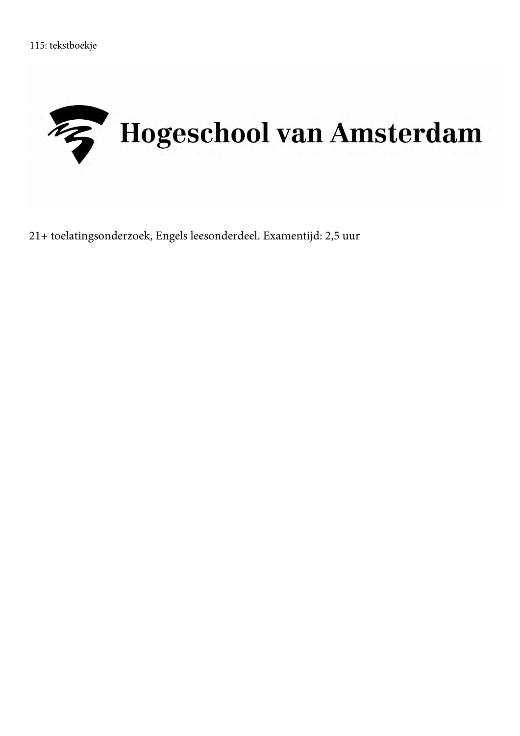

21+ toelatingsonderzoek, Engels leesonderdeel. Examentijd: 2,5 uur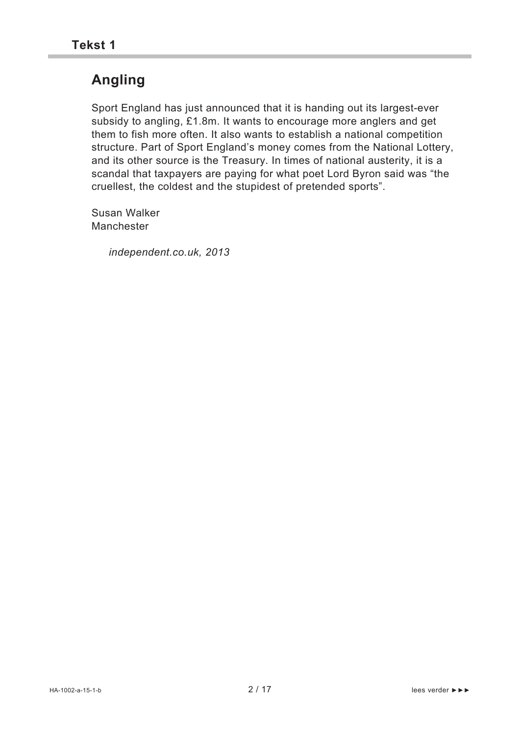# **Angling**

Sport England has just announced that it is handing out its largest-ever subsidy to angling, £1.8m. It wants to encourage more anglers and get them to fish more often. It also wants to establish a national competition structure. Part of Sport England's money comes from the National Lottery, and its other source is the Treasury. In times of national austerity, it is a scandal that taxpayers are paying for what poet Lord Byron said was "the cruellest, the coldest and the stupidest of pretended sports".

Susan Walker Manchester

*independent.co.uk, 2013*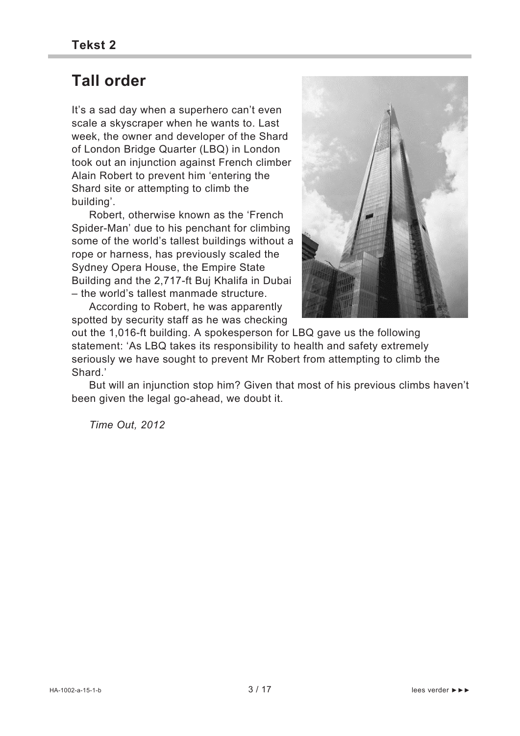## **Tall order**

It's a sad day when a superhero can't even scale a skyscraper when he wants to. Last week, the owner and developer of the Shard of London Bridge Quarter (LBQ) in London took out an injunction against French climber Alain Robert to prevent him 'entering the Shard site or attempting to climb the building'.

 Robert, otherwise known as the 'French Spider-Man' due to his penchant for climbing some of the world's tallest buildings without a rope or harness, has previously scaled the Sydney Opera House, the Empire State Building and the 2,717-ft Buj Khalifa in Dubai – the world's tallest manmade structure.

 According to Robert, he was apparently spotted by security staff as he was checking



out the 1,016-ft building. A spokesperson for LBQ gave us the following statement: 'As LBQ takes its responsibility to health and safety extremely seriously we have sought to prevent Mr Robert from attempting to climb the Shard.'

 But will an injunction stop him? Given that most of his previous climbs haven't been given the legal go-ahead, we doubt it.

*Time Out, 2012*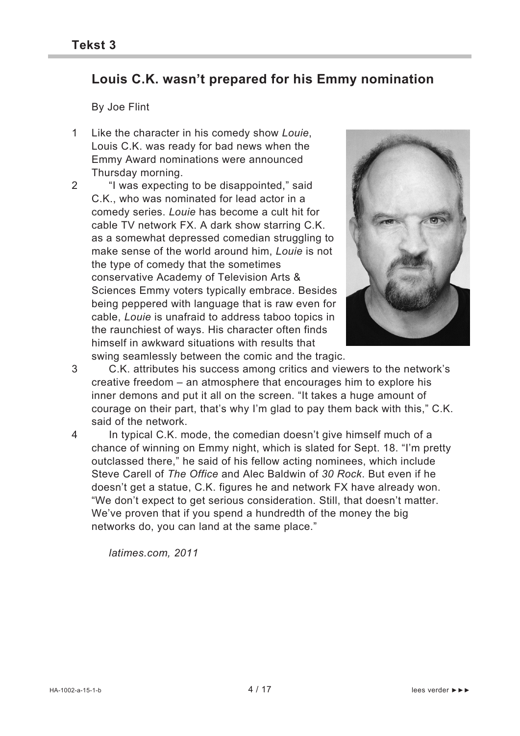### **Louis C.K. wasn't prepared for his Emmy nomination**

By Joe Flint

- 1 Like the character in his comedy show *Louie*, Louis C.K. was ready for bad news when the Emmy Award nominations were announced Thursday morning.
- 2 "I was expecting to be disappointed," said C.K., who was nominated for lead actor in a comedy series. *Louie* has become a cult hit for cable TV network FX. A dark show starring C.K. as a somewhat depressed comedian struggling to make sense of the world around him, *Louie* is not the type of comedy that the sometimes conservative Academy of Television Arts & Sciences Emmy voters typically embrace. Besides being peppered with language that is raw even for cable, *Louie* is unafraid to address taboo topics in the raunchiest of ways. His character often finds himself in awkward situations with results that



swing seamlessly between the comic and the tragic.

3 C.K. attributes his success among critics and viewers to the network's creative freedom – an atmosphere that encourages him to explore his inner demons and put it all on the screen. "It takes a huge amount of courage on their part, that's why I'm glad to pay them back with this," C.K. said of the network.

4 In typical C.K. mode, the comedian doesn't give himself much of a chance of winning on Emmy night, which is slated for Sept. 18. "I'm pretty outclassed there," he said of his fellow acting nominees, which include Steve Carell of *The Office* and Alec Baldwin of *30 Rock*. But even if he doesn't get a statue, C.K. figures he and network FX have already won. "We don't expect to get serious consideration. Still, that doesn't matter. We've proven that if you spend a hundredth of the money the big networks do, you can land at the same place."

 *latimes.com, 2011*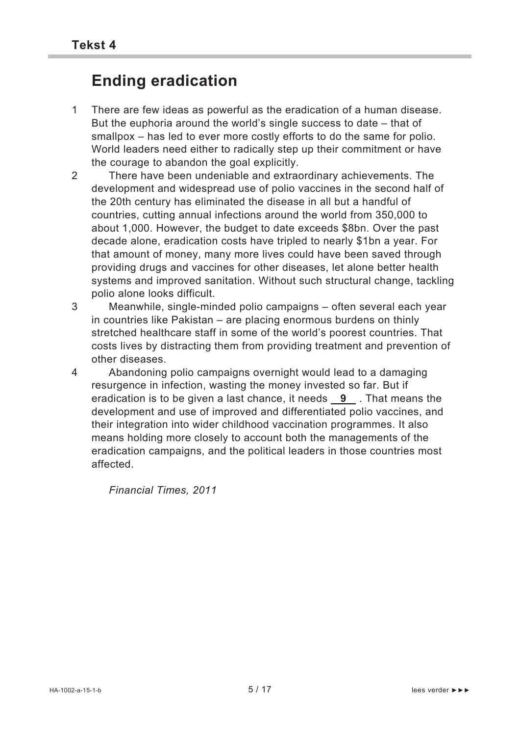# **Ending eradication**

- 1 There are few ideas as powerful as the eradication of a human disease. But the euphoria around the world's single success to date – that of smallpox – has led to ever more costly efforts to do the same for polio. World leaders need either to radically step up their commitment or have the courage to abandon the goal explicitly.
- 2 There have been undeniable and extraordinary achievements. The development and widespread use of polio vaccines in the second half of the 20th century has eliminated the disease in all but a handful of countries, cutting annual infections around the world from 350,000 to about 1,000. However, the budget to date exceeds \$8bn. Over the past decade alone, eradication costs have tripled to nearly \$1bn a year. For that amount of money, many more lives could have been saved through providing drugs and vaccines for other diseases, let alone better health systems and improved sanitation. Without such structural change, tackling polio alone looks difficult.
- 3 Meanwhile, single-minded polio campaigns often several each year in countries like Pakistan – are placing enormous burdens on thinly stretched healthcare staff in some of the world's poorest countries. That costs lives by distracting them from providing treatment and prevention of other diseases.
- 4 Abandoning polio campaigns overnight would lead to a damaging resurgence in infection, wasting the money invested so far. But if eradication is to be given a last chance, it needs **9** . That means the development and use of improved and differentiated polio vaccines, and their integration into wider childhood vaccination programmes. It also means holding more closely to account both the managements of the eradication campaigns, and the political leaders in those countries most affected.

 *Financial Times, 2011*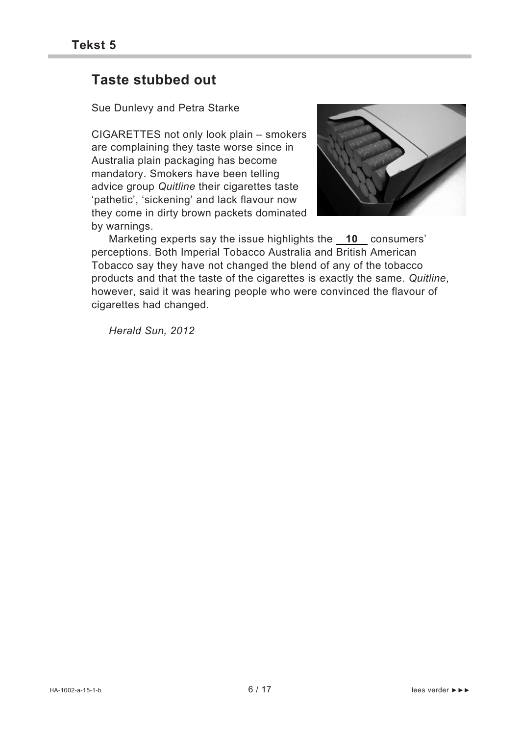### **Taste stubbed out**

Sue Dunlevy and Petra Starke

CIGARETTES not only look plain – smokers are complaining they taste worse since in Australia plain packaging has become mandatory. Smokers have been telling advice group *Quitline* their cigarettes taste 'pathetic', 'sickening' and lack flavour now they come in dirty brown packets dominated by warnings.



 Marketing experts say the issue highlights the **10** consumers' perceptions. Both Imperial Tobacco Australia and British American Tobacco say they have not changed the blend of any of the tobacco products and that the taste of the cigarettes is exactly the same. *Quitline*, however, said it was hearing people who were convinced the flavour of cigarettes had changed.

*Herald Sun, 2012*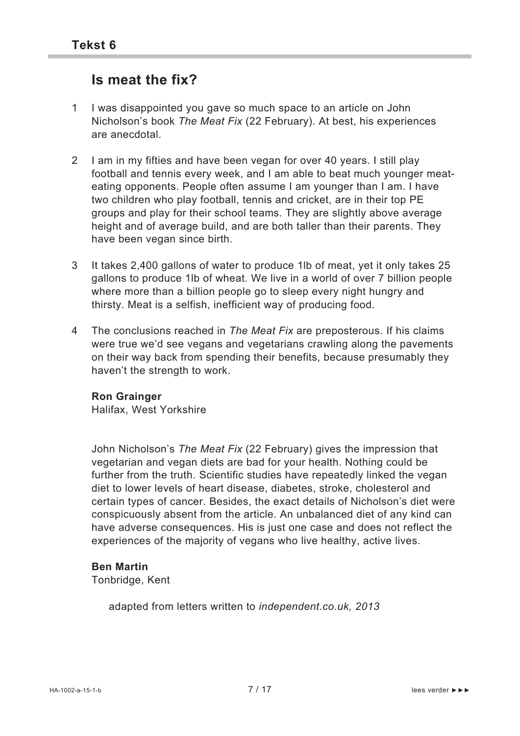### **Is meat the fix?**

- 1 I was disappointed you gave so much space to an article on John Nicholson's book *The Meat Fix* (22 February). At best, his experiences are anecdotal.
- 2 I am in my fifties and have been vegan for over 40 years. I still play football and tennis every week, and I am able to beat much younger meateating opponents. People often assume I am younger than I am. I have two children who play football, tennis and cricket, are in their top PE groups and play for their school teams. They are slightly above average height and of average build, and are both taller than their parents. They have been vegan since birth.
- 3 It takes 2,400 gallons of water to produce 1lb of meat, yet it only takes 25 gallons to produce 1lb of wheat. We live in a world of over 7 billion people where more than a billion people go to sleep every night hungry and thirsty. Meat is a selfish, inefficient way of producing food.
- 4 The conclusions reached in *The Meat Fix* are preposterous. If his claims were true we'd see vegans and vegetarians crawling along the pavements on their way back from spending their benefits, because presumably they haven't the strength to work.

#### **Ron Grainger**

Halifax, West Yorkshire

John Nicholson's *The Meat Fix* (22 February) gives the impression that vegetarian and vegan diets are bad for your health. Nothing could be further from the truth. Scientific studies have repeatedly linked the vegan diet to lower levels of heart disease, diabetes, stroke, cholesterol and certain types of cancer. Besides, the exact details of Nicholson's diet were conspicuously absent from the article. An unbalanced diet of any kind can have adverse consequences. His is just one case and does not reflect the experiences of the majority of vegans who live healthy, active lives.

#### **Ben Martin**

Tonbridge, Kent

adapted from letters written to *independent.co.uk, 2013*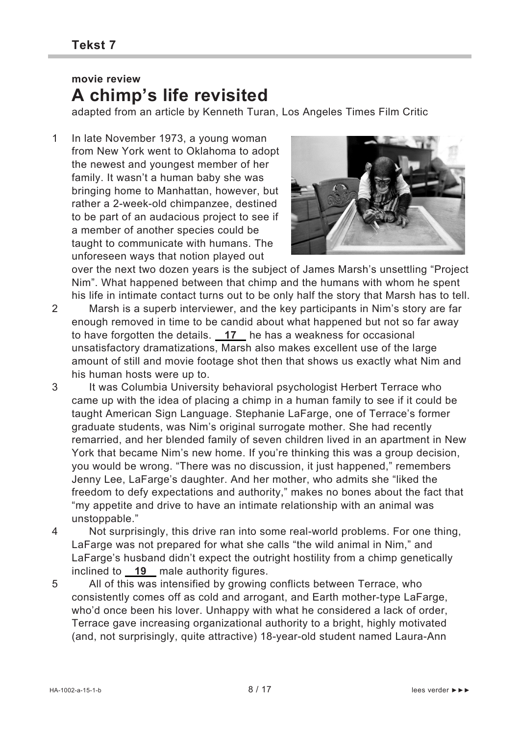### **movie review A chimp's life revisited**

adapted from an article by Kenneth Turan, Los Angeles Times Film Critic

1 In late November 1973, a young woman from New York went to Oklahoma to adopt the newest and youngest member of her family. It wasn't a human baby she was bringing home to Manhattan, however, but rather a 2-week-old chimpanzee, destined to be part of an audacious project to see if a member of another species could be taught to communicate with humans. The unforeseen ways that notion played out



over the next two dozen years is the subject of James Marsh's unsettling "Project Nim". What happened between that chimp and the humans with whom he spent his life in intimate contact turns out to be only half the story that Marsh has to tell.

- 2 Marsh is a superb interviewer, and the key participants in Nim's story are far enough removed in time to be candid about what happened but not so far away to have forgotten the details. **17** he has a weakness for occasional unsatisfactory dramatizations, Marsh also makes excellent use of the large amount of still and movie footage shot then that shows us exactly what Nim and his human hosts were up to.
- 3 It was Columbia University behavioral psychologist Herbert Terrace who came up with the idea of placing a chimp in a human family to see if it could be taught American Sign Language. Stephanie LaFarge, one of Terrace's former graduate students, was Nim's original surrogate mother. She had recently remarried, and her blended family of seven children lived in an apartment in New York that became Nim's new home. If you're thinking this was a group decision, you would be wrong. "There was no discussion, it just happened," remembers Jenny Lee, LaFarge's daughter. And her mother, who admits she "liked the freedom to defy expectations and authority," makes no bones about the fact that "my appetite and drive to have an intimate relationship with an animal was unstoppable."
- 4 Not surprisingly, this drive ran into some real-world problems. For one thing, LaFarge was not prepared for what she calls "the wild animal in Nim," and LaFarge's husband didn't expect the outright hostility from a chimp genetically inclined to **19** male authority figures.
- 5 All of this was intensified by growing conflicts between Terrace, who consistently comes off as cold and arrogant, and Earth mother-type LaFarge, who'd once been his lover. Unhappy with what he considered a lack of order, Terrace gave increasing organizational authority to a bright, highly motivated (and, not surprisingly, quite attractive) 18-year-old student named Laura-Ann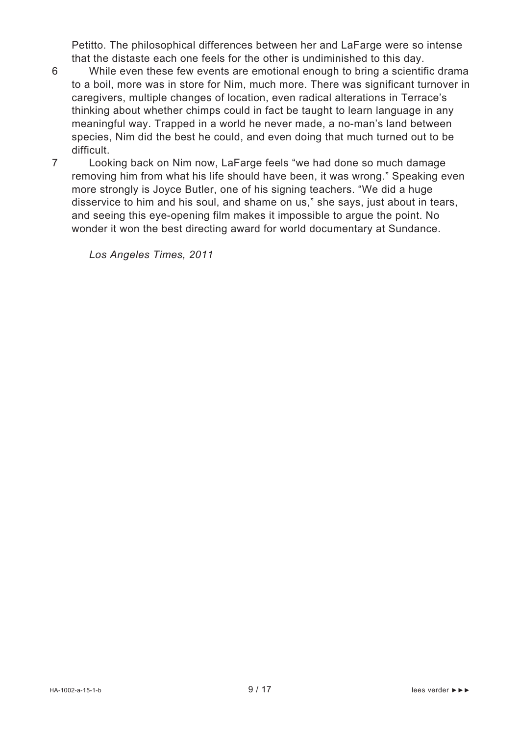Petitto. The philosophical differences between her and LaFarge were so intense that the distaste each one feels for the other is undiminished to this day.

- 6 While even these few events are emotional enough to bring a scientific drama to a boil, more was in store for Nim, much more. There was significant turnover in caregivers, multiple changes of location, even radical alterations in Terrace's thinking about whether chimps could in fact be taught to learn language in any meaningful way. Trapped in a world he never made, a no-man's land between species, Nim did the best he could, and even doing that much turned out to be difficult.
- 7 Looking back on Nim now, LaFarge feels "we had done so much damage removing him from what his life should have been, it was wrong." Speaking even more strongly is Joyce Butler, one of his signing teachers. "We did a huge disservice to him and his soul, and shame on us," she says, just about in tears, and seeing this eye-opening film makes it impossible to argue the point. No wonder it won the best directing award for world documentary at Sundance.

*Los Angeles Times, 2011*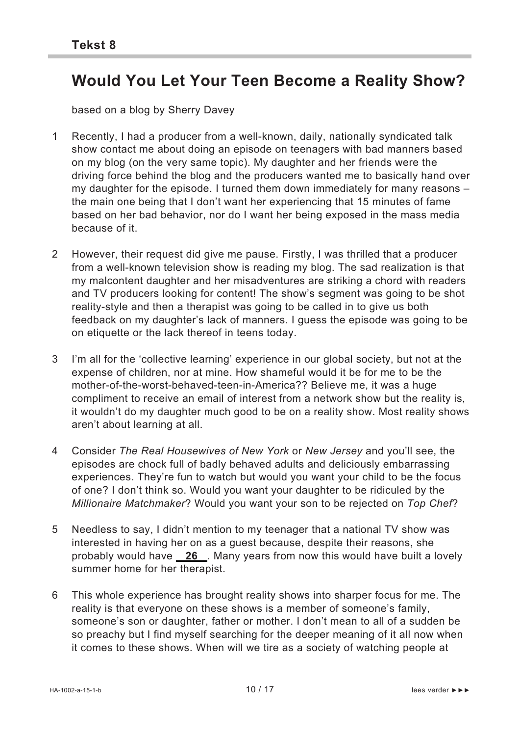## **Would You Let Your Teen Become a Reality Show?**

based on a blog by Sherry Davey

- 1 Recently, I had a producer from a well-known, daily, nationally syndicated talk show contact me about doing an episode on teenagers with bad manners based on my blog (on the very same topic). My daughter and her friends were the driving force behind the blog and the producers wanted me to basically hand over my daughter for the episode. I turned them down immediately for many reasons – the main one being that I don't want her experiencing that 15 minutes of fame based on her bad behavior, nor do I want her being exposed in the mass media because of it.
- 2 However, their request did give me pause. Firstly, I was thrilled that a producer from a well-known television show is reading my blog. The sad realization is that my malcontent daughter and her misadventures are striking a chord with readers and TV producers looking for content! The show's segment was going to be shot reality-style and then a therapist was going to be called in to give us both feedback on my daughter's lack of manners. I guess the episode was going to be on etiquette or the lack thereof in teens today.
- 3 I'm all for the 'collective learning' experience in our global society, but not at the expense of children, nor at mine. How shameful would it be for me to be the mother-of-the-worst-behaved-teen-in-America?? Believe me, it was a huge compliment to receive an email of interest from a network show but the reality is, it wouldn't do my daughter much good to be on a reality show. Most reality shows aren't about learning at all.
- 4 Consider *The Real Housewives of New York* or *New Jersey* and you'll see, the episodes are chock full of badly behaved adults and deliciously embarrassing experiences. They're fun to watch but would you want your child to be the focus of one? I don't think so. Would you want your daughter to be ridiculed by the *Millionaire Matchmaker*? Would you want your son to be rejected on *Top Chef*?
- 5 Needless to say, I didn't mention to my teenager that a national TV show was interested in having her on as a guest because, despite their reasons, she probably would have **26** . Many years from now this would have built a lovely summer home for her therapist.
- 6 This whole experience has brought reality shows into sharper focus for me. The reality is that everyone on these shows is a member of someone's family, someone's son or daughter, father or mother. I don't mean to all of a sudden be so preachy but I find myself searching for the deeper meaning of it all now when it comes to these shows. When will we tire as a society of watching people at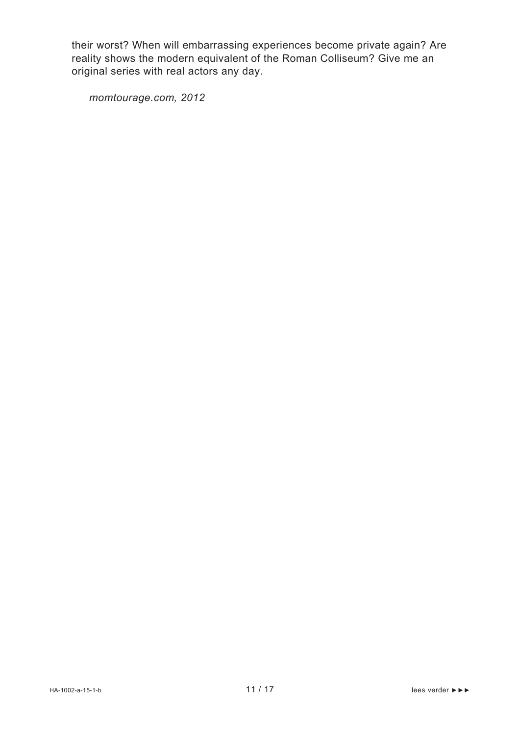their worst? When will embarrassing experiences become private again? Are reality shows the modern equivalent of the Roman Colliseum? Give me an original series with real actors any day.

*momtourage.com, 2012*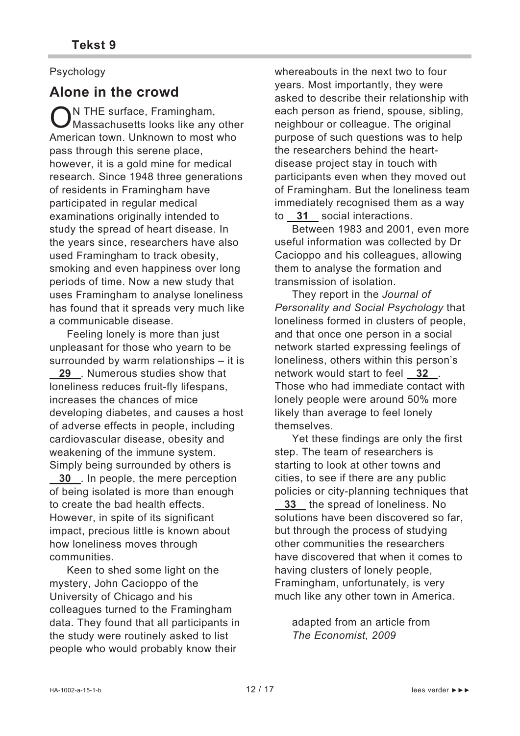### Psychology

### **Alone in the crowd**

N THE surface, Framingham,  $\bigcirc$ N THE surface, Framingham,<br>Massachusetts looks like any other American town. Unknown to most who pass through this serene place, however, it is a gold mine for medical research. Since 1948 three generations of residents in Framingham have participated in regular medical examinations originally intended to study the spread of heart disease. In the years since, researchers have also used Framingham to track obesity, smoking and even happiness over long periods of time. Now a new study that uses Framingham to analyse loneliness has found that it spreads very much like a communicable disease.

 Feeling lonely is more than just unpleasant for those who yearn to be surrounded by warm relationships – it is

 **29** . Numerous studies show that loneliness reduces fruit-fly lifespans, increases the chances of mice developing diabetes, and causes a host of adverse effects in people, including cardiovascular disease, obesity and weakening of the immune system. Simply being surrounded by others is

 **30** . In people, the mere perception of being isolated is more than enough to create the bad health effects. However, in spite of its significant impact, precious little is known about how loneliness moves through communities.

 Keen to shed some light on the mystery, John Cacioppo of the University of Chicago and his colleagues turned to the Framingham data. They found that all participants in the study were routinely asked to list people who would probably know their

whereabouts in the next two to four years. Most importantly, they were asked to describe their relationship with each person as friend, spouse, sibling, neighbour or colleague. The original purpose of such questions was to help the researchers behind the heartdisease project stay in touch with participants even when they moved out of Framingham. But the loneliness team immediately recognised them as a way to **31** social interactions.

 Between 1983 and 2001, even more useful information was collected by Dr Cacioppo and his colleagues, allowing them to analyse the formation and transmission of isolation.

 They report in the *Journal of Personality and Social Psychology* that loneliness formed in clusters of people, and that once one person in a social network started expressing feelings of loneliness, others within this person's network would start to feel **32** . Those who had immediate contact with lonely people were around 50% more likely than average to feel lonely themselves.

 Yet these findings are only the first step. The team of researchers is starting to look at other towns and cities, to see if there are any public policies or city-planning techniques that

 **33** the spread of loneliness. No solutions have been discovered so far, but through the process of studying other communities the researchers have discovered that when it comes to having clusters of lonely people, Framingham, unfortunately, is very much like any other town in America.

adapted from an article from *The Economist, 2009*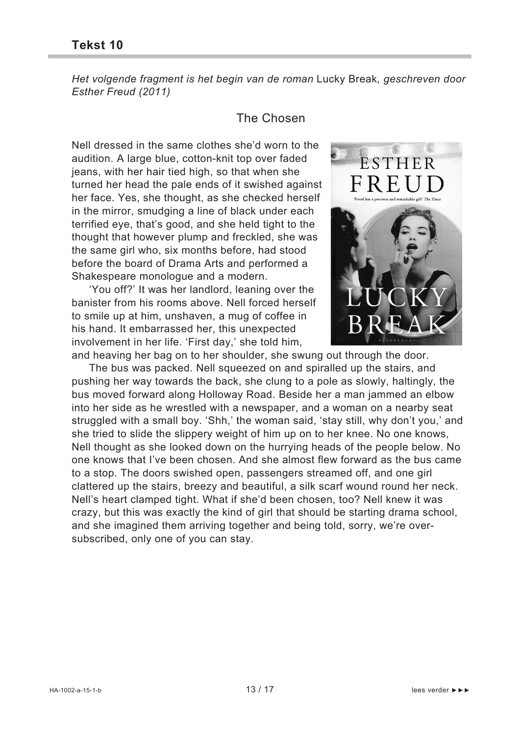*Het volgende fragment is het begin van de roman* Lucky Break*, geschreven door Esther Freud (2011)* 

### The Chosen

Nell dressed in the same clothes she'd worn to the audition. A large blue, cotton-knit top over faded jeans, with her hair tied high, so that when she turned her head the pale ends of it swished against her face. Yes, she thought, as she checked herself in the mirror, smudging a line of black under each terrified eye, that's good, and she held tight to the thought that however plump and freckled, she was the same girl who, six months before, had stood before the board of Drama Arts and performed a Shakespeare monologue and a modern.

 'You off?' It was her landlord, leaning over the banister from his rooms above. Nell forced herself to smile up at him, unshaven, a mug of coffee in his hand. It embarrassed her, this unexpected involvement in her life. 'First day,' she told him,



and heaving her bag on to her shoulder, she swung out through the door.

 The bus was packed. Nell squeezed on and spiralled up the stairs, and pushing her way towards the back, she clung to a pole as slowly, haltingly, the bus moved forward along Holloway Road. Beside her a man jammed an elbow into her side as he wrestled with a newspaper, and a woman on a nearby seat struggled with a small boy. 'Shh,' the woman said, 'stay still, why don't you,' and she tried to slide the slippery weight of him up on to her knee. No one knows, Nell thought as she looked down on the hurrying heads of the people below. No one knows that I've been chosen. And she almost flew forward as the bus came to a stop. The doors swished open, passengers streamed off, and one girl clattered up the stairs, breezy and beautiful, a silk scarf wound round her neck. Nell's heart clamped tight. What if she'd been chosen, too? Nell knew it was crazy, but this was exactly the kind of girl that should be starting drama school, and she imagined them arriving together and being told, sorry, we're oversubscribed, only one of you can stay.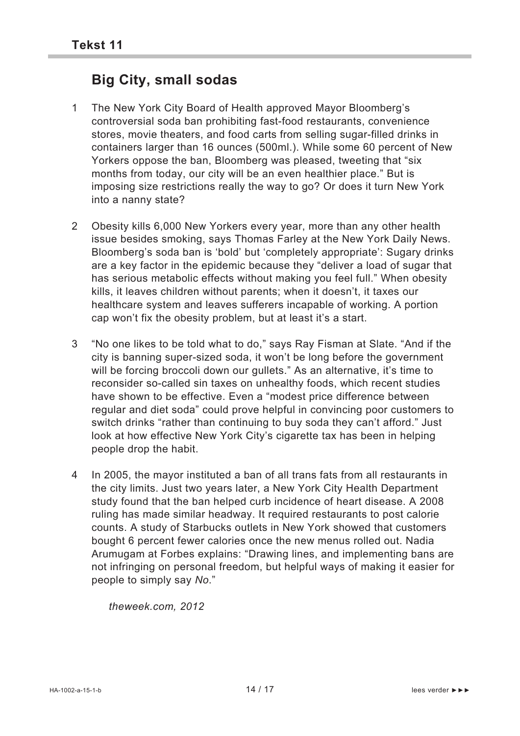## **Big City, small sodas**

- 1 The New York City Board of Health approved Mayor Bloomberg's controversial soda ban prohibiting fast-food restaurants, convenience stores, movie theaters, and food carts from selling sugar-filled drinks in containers larger than 16 ounces (500ml.). While some 60 percent of New Yorkers oppose the ban, Bloomberg was pleased, tweeting that "six months from today, our city will be an even healthier place." But is imposing size restrictions really the way to go? Or does it turn New York into a nanny state?
- 2 Obesity kills 6,000 New Yorkers every year, more than any other health issue besides smoking, says Thomas Farley at the New York Daily News. Bloomberg's soda ban is 'bold' but 'completely appropriate': Sugary drinks are a key factor in the epidemic because they "deliver a load of sugar that has serious metabolic effects without making you feel full." When obesity kills, it leaves children without parents; when it doesn't, it taxes our healthcare system and leaves sufferers incapable of working. A portion cap won't fix the obesity problem, but at least it's a start.
- 3 "No one likes to be told what to do," says Ray Fisman at Slate. "And if the city is banning super-sized soda, it won't be long before the government will be forcing broccoli down our gullets." As an alternative, it's time to reconsider so-called sin taxes on unhealthy foods, which recent studies have shown to be effective. Even a "modest price difference between regular and diet soda" could prove helpful in convincing poor customers to switch drinks "rather than continuing to buy soda they can't afford." Just look at how effective New York City's cigarette tax has been in helping people drop the habit.
- 4 In 2005, the mayor instituted a ban of all trans fats from all restaurants in the city limits. Just two years later, a New York City Health Department study found that the ban helped curb incidence of heart disease. A 2008 ruling has made similar headway. It required restaurants to post calorie counts. A study of Starbucks outlets in New York showed that customers bought 6 percent fewer calories once the new menus rolled out. Nadia Arumugam at Forbes explains: "Drawing lines, and implementing bans are not infringing on personal freedom, but helpful ways of making it easier for people to simply say *No*."

*theweek.com, 2012*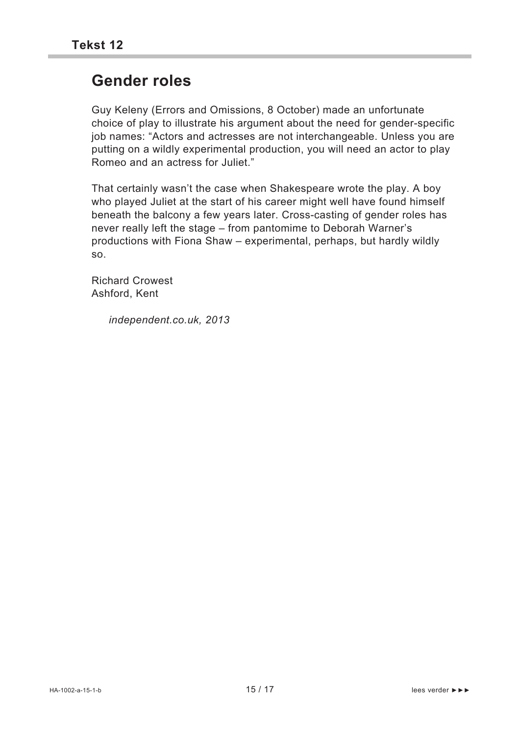## **Gender roles**

Guy Keleny (Errors and Omissions, 8 October) made an unfortunate choice of play to illustrate his argument about the need for gender-specific job names: "Actors and actresses are not interchangeable. Unless you are putting on a wildly experimental production, you will need an actor to play Romeo and an actress for Juliet."

That certainly wasn't the case when Shakespeare wrote the play. A boy who played Juliet at the start of his career might well have found himself beneath the balcony a few years later. Cross-casting of gender roles has never really left the stage – from pantomime to Deborah Warner's productions with Fiona Shaw – experimental, perhaps, but hardly wildly so.

Richard Crowest Ashford, Kent

*independent.co.uk, 2013*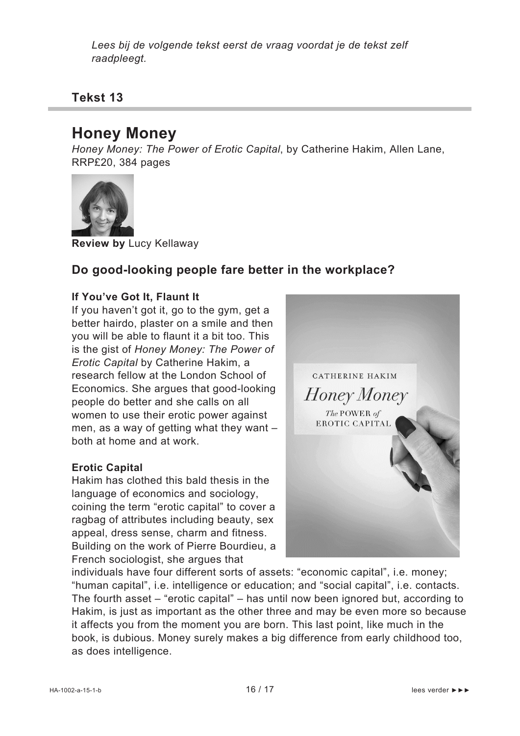*Lees bij de volgende tekst eerst de vraag voordat je de tekst zelf raadpleegt.*

**Tekst 13** 

## **Honey Money**

*Honey Money: The Power of Erotic Capital*, by Catherine Hakim, Allen Lane, RRP£20, 384 pages



**Review by** Lucy Kellaway

### **Do good-looking people fare better in the workplace?**

#### **If You've Got It, Flaunt It**

If you haven't got it, go to the gym, get a better hairdo, plaster on a smile and then you will be able to flaunt it a bit too. This is the gist of *Honey Money: The Power of Erotic Capital* by Catherine Hakim, a research fellow at the London School of Economics. She argues that good-looking people do better and she calls on all women to use their erotic power against men, as a way of getting what they want – both at home and at work.

#### **Erotic Capital**

Hakim has clothed this bald thesis in the language of economics and sociology, coining the term "erotic capital" to cover a ragbag of attributes including beauty, sex appeal, dress sense, charm and fitness. Building on the work of Pierre Bourdieu, a French sociologist, she argues that



individuals have four different sorts of assets: "economic capital", i.e. money; "human capital", i.e. intelligence or education; and "social capital", i.e. contacts. The fourth asset – "erotic capital" – has until now been ignored but, according to Hakim, is just as important as the other three and may be even more so because it affects you from the moment you are born. This last point, like much in the book, is dubious. Money surely makes a big difference from early childhood too, as does intelligence.